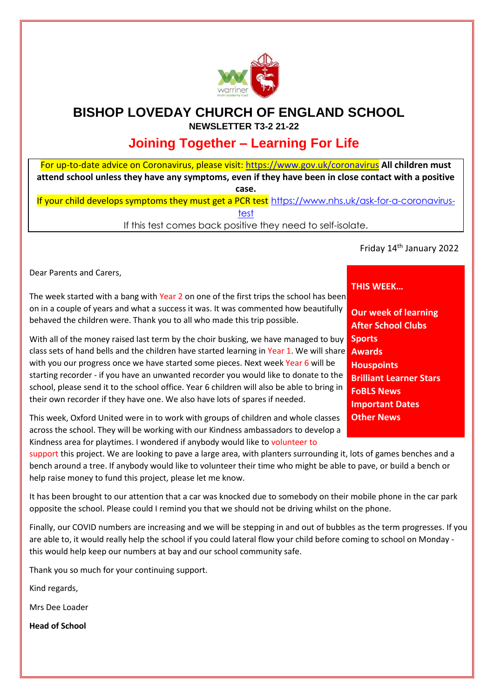

## **BISHOP LOVEDAY CHURCH OF ENGLAND SCHOOL NEWSLETTER T3-2 21-22**

# **Joining Together – Learning For Life**

For up-to-date advice on Coronavirus, please visit:<https://www.gov.uk/coronavirus> **[A](https://www.gov.uk/coronavirus)ll children must attend school unless they have any symptoms, even if they have been in close contact with a positive case.**

If your child develops symptoms they must get a PCR test [https://www.nhs.uk/ask-for-a-coronavirus](https://www.nhs.uk/ask-for-a-coronavirus-test)[test](https://www.nhs.uk/ask-for-a-coronavirus-test)

If this test comes back positive they need to self-isolate.

Friday 14th January 2022

Dear Parents and Carers,

The week started with a bang with Year 2 on one of the first trips the school has been on in a couple of years and what a success it was. It was commented how beautifully behaved the children were. Thank you to all who made this trip possible.

With all of the money raised last term by the choir busking, we have managed to buy class sets of hand bells and the children have started learning in <mark>Year 1</mark>. We will share **Awards** with you our progress once we have started some pieces. Next week Year 6 will be starting recorder - if you have an unwanted recorder you would like to donate to the school, please send it to the school office. Year 6 children will also be able to bring in their own recorder if they have one. We also have lots of spares if needed.

This week, Oxford United were in to work with groups of children and whole classes across the school. They will be working with our Kindness ambassadors to develop a Kindness area for playtimes. I wondered if anybody would like to volunteer to

support this project. We are looking to pave a large area, with planters surrounding it, lots of games benches and a bench around a tree. If anybody would like to volunteer their time who might be able to pave, or build a bench or help raise money to fund this project, please let me know.

It has been brought to our attention that a car was knocked due to somebody on their mobile phone in the car park opposite the school. Please could I remind you that we should not be driving whilst on the phone.

Finally, our COVID numbers are increasing and we will be stepping in and out of bubbles as the term progresses. If you are able to, it would really help the school if you could lateral flow your child before coming to school on Monday this would help keep our numbers at bay and our school community safe.

Thank you so much for your continuing support.

Kind regards,

Mrs Dee Loader

**Head of School**

### **THIS WEEK…**

**Our week of learning After School Clubs Sports Houspoints Brilliant Learner Stars FoBLS News Important Dates Other News**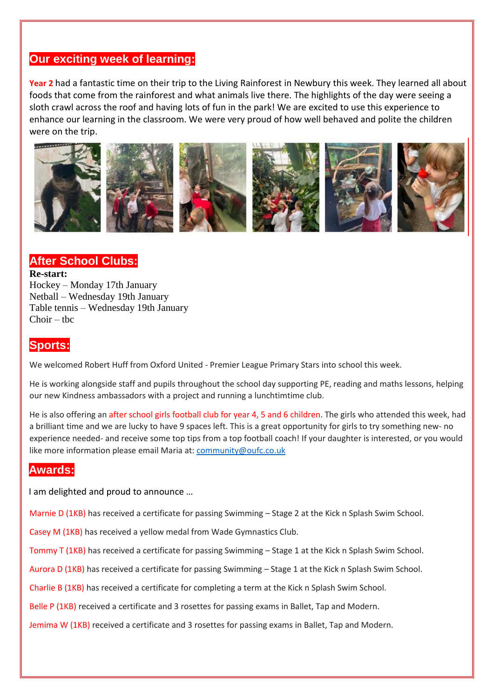### **Our exciting week of learning:**

**Year 2** had a fantastic time on their trip to the Living Rainforest in Newbury this week. They learned all about foods that come from the rainforest and what animals live there. The highlights of the day were seeing a sloth crawl across the roof and having lots of fun in the park! We are excited to use this experience to enhance our learning in the classroom. We were very proud of how well behaved and polite the children were on the trip.



### **After School Clubs:**

#### **Re-start:**

Hockey – Monday 17th January Netball – Wednesday 19th January Table tennis – Wednesday 19th January  $Choir - the$ 

### **Sports:**

We welcomed Robert Huff from Oxford United - Premier League Primary Stars into school this week.

He is working alongside staff and pupils throughout the school day supporting PE, reading and maths lessons, helping our new Kindness ambassadors with a project and running a lunchtimtime club.

He is also offering an after school girls football club for year 4, 5 and 6 children. The girls who attended this week, had a brilliant time and we are lucky to have 9 spaces left. This is a great opportunity for girls to try something new- no experience needed- and receive some top tips from a top football coach! If your daughter is interested, or you would like more information please email Maria at: [community@oufc.co.uk](mailto:community@oufc.co.uk)

### **Awards:**

I am delighted and proud to announce …

Marnie D (1KB) has received a certificate for passing Swimming – Stage 2 at the Kick n Splash Swim School.

Casey M (1KB) has received a yellow medal from Wade Gymnastics Club.

Tommy T (1KB) has received a certificate for passing Swimming – Stage 1 at the Kick n Splash Swim School.

Aurora D (1KB) has received a certificate for passing Swimming – Stage 1 at the Kick n Splash Swim School.

Charlie B (1KB) has received a certificate for completing a term at the Kick n Splash Swim School.

Belle P (1KB) received a certificate and 3 rosettes for passing exams in Ballet, Tap and Modern.

Jemima W (1KB) received a certificate and 3 rosettes for passing exams in Ballet, Tap and Modern.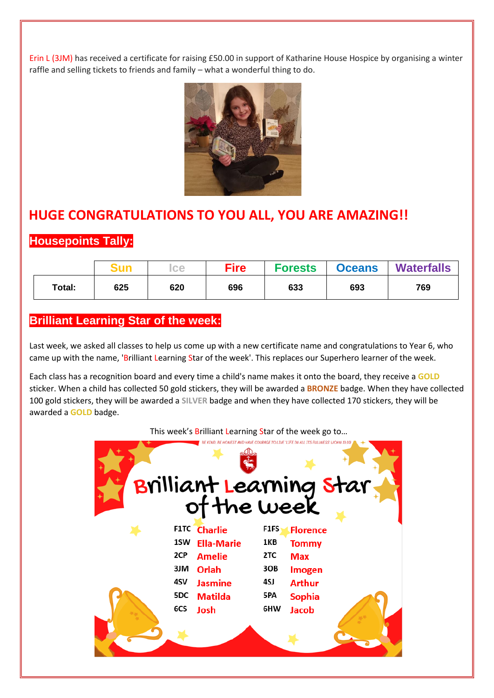Erin L (3JM) has received a certificate for raising £50.00 in support of Katharine House Hospice by organising a winter raffle and selling tickets to friends and family – what a wonderful thing to do.



## **HUGE CONGRATULATIONS TO YOU ALL, YOU ARE AMAZING!!**

## **Housepoints Tally:**

|        |     | <b>ce</b> | <b>Fire</b> | <b>Forests</b> | <b>Oceans</b> | <b>Waterfalls</b> |
|--------|-----|-----------|-------------|----------------|---------------|-------------------|
| Total: | 625 | 620       | 696         | 633            | 693           | 769               |

### **Brilliant Learning Star of the week:**

Last week, we asked all classes to help us come up with a new certificate name and congratulations to Year 6, who came up with the name, 'Brilliant Learning Star of the week'. This replaces our Superhero learner of the week.

Each class has a recognition board and every time a child's name makes it onto the board, they receive a **GOLD** sticker. When a child has collected 50 gold stickers, they will be awarded a **BRONZE** badge. When they have collected 100 gold stickers, they will be awarded a **SILVER** badge and when they have collected 170 stickers, they will be awarded a **GOLD** badge.

#### This week's Brilliant Learning Star of the week go to...

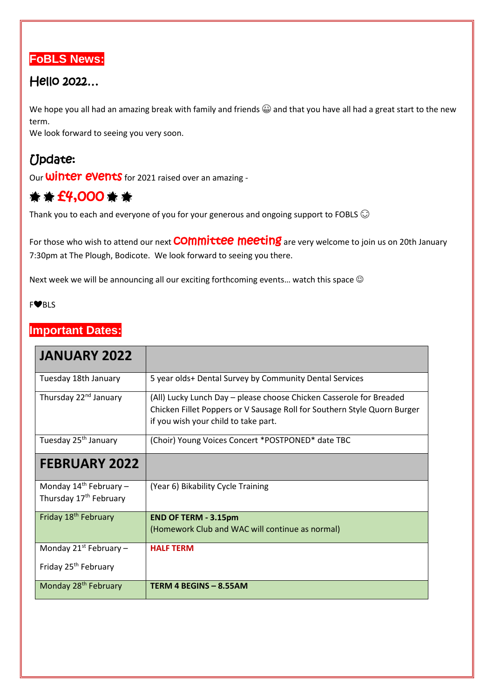

## Hello 2022…

We hope you all had an amazing break with family and friends  $\bigcircled{a}$  and that you have all had a great start to the new term.

We look forward to seeing you very soon.

# Update:

Our **Winter events** for 2021 raised over an amazing -

# $*$   $*$  £4,000  $*$   $*$

Thank you to each and everyone of you for your generous and ongoing support to FOBLS  $\odot$ 

For those who wish to attend our next **COMMIttee meeting** are very welcome to join us on 20th January 7:30pm at The Plough, Bodicote. We look forward to seeing you there.

Next week we will be announcing all our exciting forthcoming events... watch this space  $\odot$ 

#### F❤️BLS

### **Important Dates:**

| <b>JANUARY 2022</b>                                               |                                                                                                                                                                                         |
|-------------------------------------------------------------------|-----------------------------------------------------------------------------------------------------------------------------------------------------------------------------------------|
| Tuesday 18th January                                              | 5 year olds+ Dental Survey by Community Dental Services                                                                                                                                 |
| Thursday 22 <sup>nd</sup> January                                 | (All) Lucky Lunch Day - please choose Chicken Casserole for Breaded<br>Chicken Fillet Poppers or V Sausage Roll for Southern Style Quorn Burger<br>if you wish your child to take part. |
| Tuesday 25 <sup>th</sup> January                                  | (Choir) Young Voices Concert *POSTPONED* date TBC                                                                                                                                       |
| <b>FEBRUARY 2022</b>                                              |                                                                                                                                                                                         |
| Monday $14^{th}$ February -<br>Thursday 17 <sup>th</sup> February | (Year 6) Bikability Cycle Training                                                                                                                                                      |
| Friday 18 <sup>th</sup> February                                  | <b>END OF TERM - 3.15pm</b><br>(Homework Club and WAC will continue as normal)                                                                                                          |
| Monday $21^{st}$ February –                                       | <b>HALF TERM</b>                                                                                                                                                                        |
| Friday 25 <sup>th</sup> February                                  |                                                                                                                                                                                         |
| Monday 28 <sup>th</sup> February                                  | TERM 4 BEGINS - 8.55AM                                                                                                                                                                  |